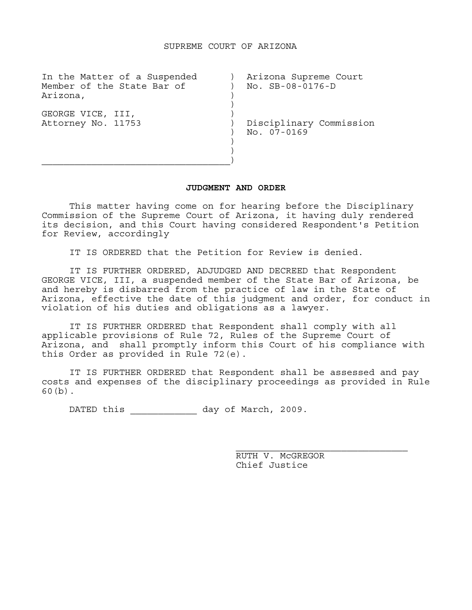| In the Matter of a Suspended<br>Member of the State Bar of<br>Arizona, | Arizona Supreme Court<br>No. SB-08-0176-D |
|------------------------------------------------------------------------|-------------------------------------------|
| GEORGE VICE, III,<br>Attorney No. 11753                                | Disciplinary Commission<br>No. 07-0169    |

## **JUDGMENT AND ORDER**

 This matter having come on for hearing before the Disciplinary Commission of the Supreme Court of Arizona, it having duly rendered its decision, and this Court having considered Respondent's Petition for Review, accordingly

IT IS ORDERED that the Petition for Review is denied.

 IT IS FURTHER ORDERED, ADJUDGED AND DECREED that Respondent GEORGE VICE, III, a suspended member of the State Bar of Arizona, be and hereby is disbarred from the practice of law in the State of Arizona, effective the date of this judgment and order, for conduct in violation of his duties and obligations as a lawyer.

 IT IS FURTHER ORDERED that Respondent shall comply with all applicable provisions of Rule 72, Rules of the Supreme Court of Arizona, and shall promptly inform this Court of his compliance with this Order as provided in Rule 72(e).

 IT IS FURTHER ORDERED that Respondent shall be assessed and pay costs and expenses of the disciplinary proceedings as provided in Rule 60(b).

DATED this \_\_\_\_\_\_\_\_\_\_\_\_\_\_\_ day of March, 2009.

RUTH V. MCGREGOR Chief Justice